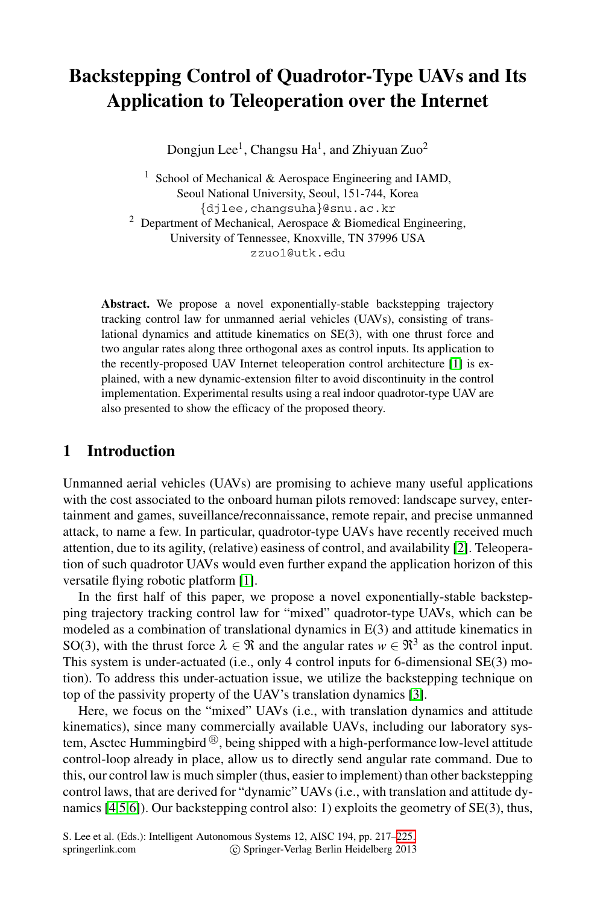# **Backstepping Control of Quadrotor-Type UAVs and Its Application to Teleoperation over the Internet**

Dongjun Lee<sup>1</sup>, Changsu Ha<sup>1</sup>, and Zhiyuan Zuo<sup>2</sup>

<sup>1</sup> School of Mechanical & Aerospace Engineering and IAMD, Seoul National University, Seoul, 151-744, Korea *{*djlee,changsuha*}*@snu.ac.kr <sup>2</sup> Department of Mechanical, Aerospace & Biomedical Engineering, University of Tennessee, Knoxville, [T](#page-8-0)N 37996 USA zzuo1@utk.edu

**Abstract.** We propose a novel exponentially-stable backstepping trajectory tracking control law for unmanned aerial vehicles (UAVs), consisting of translational dynamics and attitude kinematics on SE(3), with one thrust force and two angular rates along three orthogonal axes as control inputs. Its application to the recently-proposed UAV Internet teleoperation control architecture [1] is explained, with a new dynamic-extension filter to avoid discontinuity in the control implementation. Experimental results using a real indoor quadrotor-type UAV are also presented to show the efficacy of the proposed theory.

# **1 Introd[uc](#page-8-0)tion**

Unmanned aerial vehicles (UAVs) are promising to achieve many useful applications with the cost associated to the onboard human pilots removed: landscape survey, entertainment and games, suveillance/reconnaissance, remote repair, and precise unmanned attack, to name a few. In particular, quadrotor-type UAVs have recently received much attention, due to its agility, (relative) easiness of control, and availability [2]. Teleoperation of such quadrotor UAVs would even fur[the](#page-8-1)r expand the application horizon of this versatile flying robotic platform [1].

In the first half of this paper, we propose a novel exponentially-stable backstepping trajectory tracking control law for "mixed" quadrotor-type UAVs, which can be modeled as a combination of translational dynamics in E(3) and attitude kinematics in SO(3), with the thrust force  $\lambda \in \Re$  and the angular rates  $w \in \Re^3$  as the control input. This system is under-actuated (i.e., only 4 control inputs for 6-dimensional SE(3) motion). To address this under-actuation issue, we utilize the backstepping technique on top of the passivity property of the UAV's translation dynamics [3].

Here, we focus on the "mixed" UAVs [\(i.e](#page-8-2)., with translation dynamics and attitude kinematics), since many commercially available UAVs, including our laboratory system, Asctec Hummingbird  $^{\circledR}$ , being shipped with a high-performance low-level attitude control-loop already in place, allow us to directly send angular rate command. Due to this, our control law is much simpler (thus, easier to implement) than other backstepping control laws, that are derived for "dynamic" UAVs (i.e., with translation and attitude dynamics [4,5,6]). Our backstepping control also: 1) exploits the geometry of SE(3), thus,

S. Lee et al. (Eds.): Intelligent Autonomous Systems 12, AISC 194, pp. 217–225. springerlink.com c Springer-Verlag Berlin Heidelberg 2013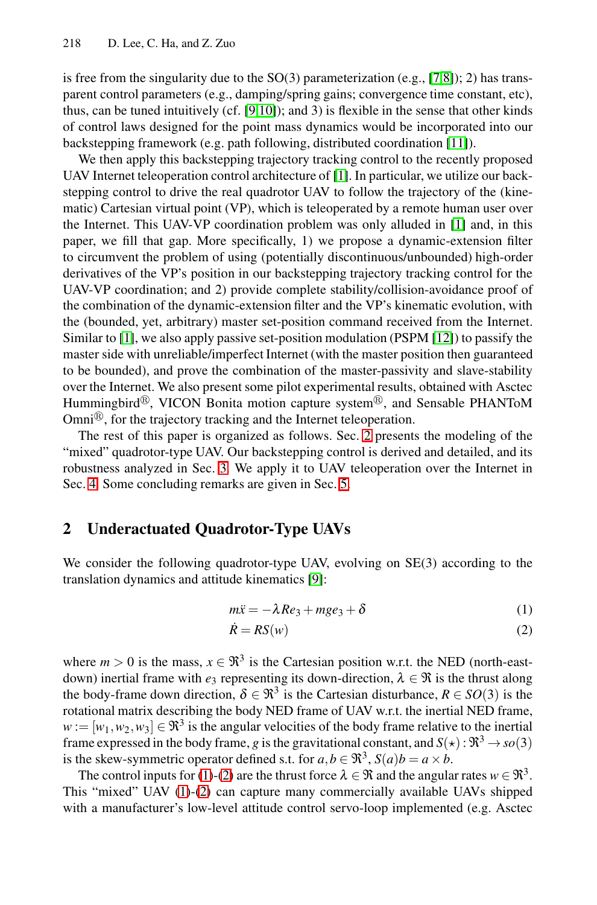is free from the singularity due to the  $SO(3)$  parameterization (e.g., [7,8]); 2) has transparent control parameters (e.g., damping/spring gain[s;](#page-8-0) convergence time constant, etc), thus, can be tuned intuitively (cf. [9,10]); and 3) is flexible in the sense that other kinds of control laws designed for the point mass dynamics would be incorporated into our backstepping framework (e.g. path following, distributed coordination [11]).

<span id="page-1-0"></span>We then apply this backstepping trajectory tracking control to the recently proposed UAV Internet teleoperation control architecture of [1]. In particular, we utilize our backstepping control to drive the real quadrotor UAV to follow the trajectory of the (kinematic) Cartesian virtual point (VP), which is tele[ope](#page-8-3)rated by a remote human user over the Internet. This UAV-VP coordination problem was only alluded in [1] and, in this paper, we fill that gap. More specifically, 1) we propose a dynamic-extension filter to circumvent the problem of using (potentially discontinuous/unbounded) high-order derivatives of the VP's position in our backstepping trajectory tracking control for the UAV-VP coordination; and 2) provide complete stability/collision-avoidance proof of the combination of the dynamic-ext[en](#page-1-0)sion filter and the VP's kinematic evolution, with the (bounded, yet, arbitrary) master set-position command received from the Internet. Similar t[o \[](#page-2-0)1], we also apply passive set-position modulation (PSPM [12]) to passify the master side with unreliable/imp[er](#page-8-4)fect Internet (with the master position then guaranteed to be bounded), and prove the combination of the master-passivity and slave-stability over the Internet. We also present some pilot experimental results, obtained with Asctec Hummingbird $\mathcal{B}$ , VICON Bonita motion capture system $\mathcal{B}$ , and Sensable PHANToM Omni $^{\textcircled{\textcircled{\tiny{R}}}}$ , for the trajectory tracking and the Internet teleoperation.

The rest of this paper is organized as follows. Sec. 2 presents the modeling of the "mixed" quadrotor-type [UAV](#page-8-5). Our backstepping control is derived and detailed, and its robustness analyzed in Sec. 3. We apply it to UAV teleoperation over the Internet in Sec. 4. Some concluding remarks are given in Sec. 5.

# **2 Underactuated Quadrotor-Type UAVs**

We consider the following quadrotor-type UAV, evolving on  $SE(3)$  according to the translation dynamics and attitude kinematics [9]:

<span id="page-1-2"></span><span id="page-1-1"></span>
$$
m\ddot{x} = -\lambda Re_3 + mge_3 + \delta \tag{1}
$$

$$
\dot{R} = RS(w) \tag{2}
$$

[whe](#page-1-1)r[e](#page-1-2)  $m > 0$  $m > 0$  $m > 0$  $m > 0$  is the mass,  $x \in \mathbb{R}^3$  is the Cartesian position w.r.t. the NED (north-eastdown) inertial frame with  $e_3$  representing its down-direction,  $\lambda \in \mathcal{R}$  is the thrust along the body-frame down direction,  $\delta \in \mathbb{R}^3$  is the Cartesian disturbance,  $R \in SO(3)$  is the rotational matrix describing the body NED frame of UAV w.r.t. the inertial NED frame,  $w := [w_1, w_2, w_3] \in \mathbb{R}^3$  is the angular velocities of the body frame relative to the inertial frame expressed in the body frame, *g* is the gravitational constant, and  $S(\star): \mathbb{R}^3 \to so(3)$ is the skew-symmetric operator defined s.t. for  $a, b \in \mathbb{R}^3$ ,  $S(a)b = a \times b$ .

The control inputs for (1)-(2) are the thrust force  $\lambda \in \mathcal{R}$  and the angular rates  $w \in \mathcal{R}^3$ . This "mixed" UAV (1)-(2) can capture many commercially available UAVs shipped with a manufacturer's low-level attitude control servo-loop implemented (e.g. Asctec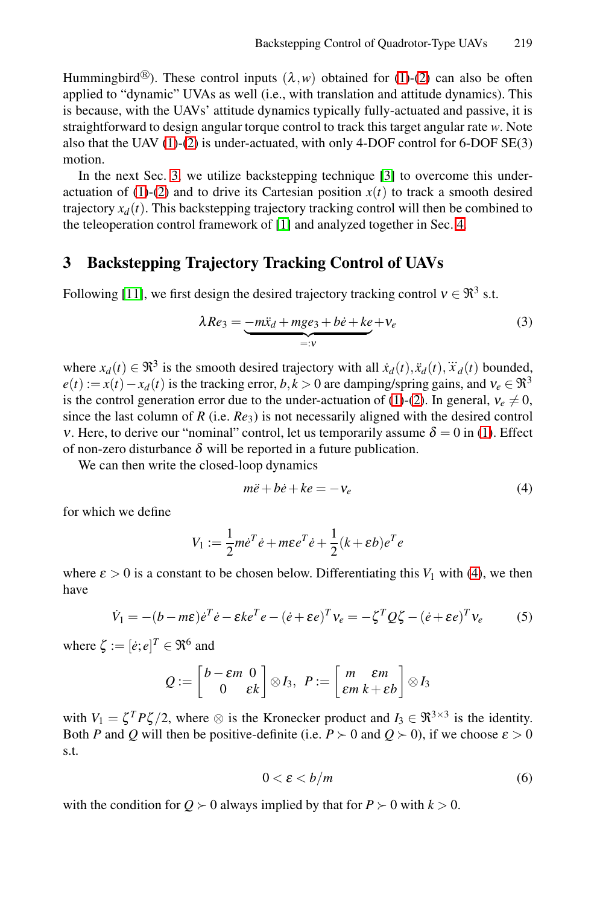<span id="page-2-0"></span>Hummingbird<sup>®</sup>). These control inputs  $(\lambda, w)$  obtained for (1)-(2) can also be often applied to "dynami[c"](#page-8-0) UVAs as well (i.e., with transl[ati](#page-4-0)on and attitude dynamics). This is because, with the UAVs' attitude dynamics typically fully-actuated and passive, it is straightforward to design angular torque control to track this target angular rate *w*. Note also that the UAV (1)-(2) is under-actuated, with only 4-DOF control for 6-DOF SE(3) motion.

In the next Sec. 3, we utilize backstepping technique [3] to overcome this underactuation of (1)-(2) and to drive its Cartesian position  $x(t)$  to track a smooth desired trajectory  $x_d(t)$ . This backstepping trajectory tracking control will then be combined to the teleoperation control framework of [1] and analyzed together in Sec. 4.

# **3 Backstepping Trajectory Tr[ack](#page-1-1)[in](#page-1-2)g Control of UAVs**

Following [11], we first design the desired trajectory tracking control  $v \in \mathfrak{R}^3$  s.t.

<span id="page-2-2"></span><span id="page-2-1"></span>
$$
\lambda Re_3 = \underbrace{-m\ddot{x}_d + mge_3 + b\dot{e} + ke}_{=:v} + v_e \tag{3}
$$

where  $x_d(t) \in \mathbb{R}^3$  is the smooth desired trajectory with all  $\dot{x}_d(t), \ddot{x}_d(t), \ddot{x}_d(t)$  bounded,  $e(t) := x(t) - x_d(t)$  is the tracking error,  $b, k > 0$  are damping/spring gains, and  $v_e \in \mathbb{R}^3$ is the control generation error due to the under-actuation of (1)-(2). In general,  $v_e \neq 0$ , since the last column of *R* (i.e.  $Re_3$ ) is not necessarily aligned with the desired control v. Here, to derive our "nominal" control, let us temporarily assume  $\delta = 0$  in (1). Effect of non-zero disturbance  $\delta$  will be reported in a future p[ub](#page-2-1)lication.

We can then write the closed-loop dynamics

$$
m\ddot{e} + b\dot{e} + ke = -v_e \tag{4}
$$

for which we define

$$
V_1 := \frac{1}{2}m\dot{e}^T\dot{e} + m\epsilon e^T\dot{e} + \frac{1}{2}(k+\epsilon b)e^T e
$$

where  $\varepsilon > 0$  is a constant to be chosen below. Differentiating this  $V_1$  with (4), we then have

$$
\dot{V}_1 = -(b - m\epsilon)\dot{e}^T\dot{e} - \epsilon k e^T e - (\dot{e} + \epsilon e)^T v_e = -\zeta^T Q \zeta - (\dot{e} + \epsilon e)^T v_e \tag{5}
$$

where  $\zeta := [\dot{e}; e]^T \in \mathfrak{R}^6$  and

$$
Q:=\begin{bmatrix}b-\varepsilon m & 0\\0 & \varepsilon k\end{bmatrix}\otimes I_3, P:=\begin{bmatrix}m & \varepsilon m\\ \varepsilon m & k+\varepsilon b\end{bmatrix}\otimes I_3
$$

with  $V_1 = \zeta^T P \zeta / 2$ , where  $\otimes$  is the Kronecker product and  $I_3 \in \Re^{3 \times 3}$  is the identity. Both *P* and *Q* will then be positive-definite (i.e.  $P > 0$  and  $Q > 0$ ), if we choose  $\varepsilon > 0$ s.t.

$$
0 < \varepsilon < b/m \tag{6}
$$

with the condition for  $Q \succ 0$  always implied by that for  $P \succ 0$  with  $k > 0$ .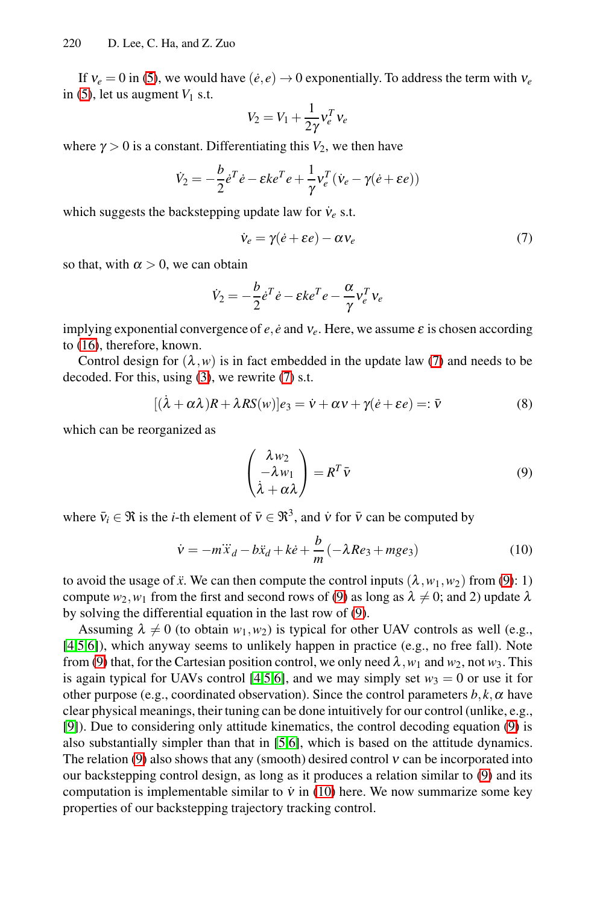If  $v_e = 0$  in (5), we would have  $(\dot{e}, e) \rightarrow 0$  exponentially. To address the term with  $v_e$ in (5), let us augment  $V_1$  s.t.

<span id="page-3-0"></span>
$$
V_2 = V_1 + \frac{1}{2\gamma} v_e^T v_e
$$

where  $\gamma > 0$  is a constant. Differentiating this  $V_2$ , we then have

$$
\dot{V}_2 = -\frac{b}{2}\dot{e}^T\dot{e} - \varepsilon k e^T e + \frac{1}{\gamma}v_e^T(\dot{v}_e - \gamma(\dot{e} + \varepsilon e))
$$

which suggests the backstepping update law for  $\dot{v}_e$  s.t.

<span id="page-3-2"></span><span id="page-3-1"></span>
$$
\dot{v}_e = \gamma(\dot{e} + \varepsilon e) - \alpha v_e \tag{7}
$$

so th[at,](#page-2-2) with  $\alpha > 0$ , [we](#page-3-0) can obtain

$$
\dot{V}_2 = -\frac{b}{2}\dot{e}^T\dot{e} - \varepsilon k e^T e - \frac{\alpha}{\gamma}v_e^T v_e
$$

implying exponential convergence of  $e, \dot{e}$  and  $v_e$ . Here, we assume  $\varepsilon$  is chosen according to (16), therefore, known.

Control design for  $(\lambda, w)$  is in fact embedded in the update law (7) and needs to be decoded. For this, using (3), we rewrite (7) s.t.

$$
[(\dot{\lambda} + \alpha \lambda)R + \lambda RS(w)]e_3 = \dot{v} + \alpha v + \gamma(\dot{e} + \varepsilon e) =: \bar{v}
$$
\n(8)

which can be reorganized as

$$
\begin{pmatrix} \lambda w_2 \\ -\lambda w_1 \\ \dot{\lambda} + \alpha \lambda \end{pmatrix} = R^T \bar{v}
$$
\n(9)

where  $\bar{v}_i \in \Re$  is the *i*-th element of  $\bar{v} \in \Re^3$ , and  $\dot{v}$  for  $\bar{v}$  can be computed by

$$
\dot{v} = -m\ddot{x}_d - b\ddot{x}_d + k\dot{e} + \frac{b}{m}(-\lambda Re_3 + mge_3)
$$
\n(10)

to avoid the usage of  $\ddot{x}$ . We can then compute the control inputs  $(\lambda, w_1, w_2)$  from (9): 1) compute  $w_2, w_1$  from the fir[s](#page-3-1)t and second rows of (9) as long as  $\lambda \neq 0$ ; and 2) update  $\lambda$ by solving the diffe[re](#page-8-7)[nti](#page-8-6)al equation in the last row of (9).

Assuming  $\lambda \neq 0$  (to obtain  $w_1, w_2$ ) is typical for other UAV controls as well (e.g., [4,5,6]), which anyway seems to unlikely happen in pra[cti](#page-3-1)ce (e.g., no free fall). Note from (9) that, for the Cartes[ian](#page-3-2) position control, we only need  $\lambda$ ,  $w_1$  and  $w_2$ , not  $w_3$ . This is again typical for UAVs control [4,5,6], and we may simply set  $w_3 = 0$  or use it for other purpose (e.g., coordinated observation). Since the control parameters  $b, k, \alpha$  have clear physical meanings, their tuning can be done intuitively for our control (unlike, e.g., [9]). Due to considering only attitude kinematics, the control decoding equation (9) is also substantially simpler than that in [5,6], which is based on the attitude dynamics. The relation (9) also shows that any (smooth) desired control  $v$  can be incorporated into our backstepping control design, as long as it produces a relation similar to (9) and its computation is implementable similar to  $\dot{v}$  in (10) here. We now summarize some key properties of our backstepping trajectory tracking control.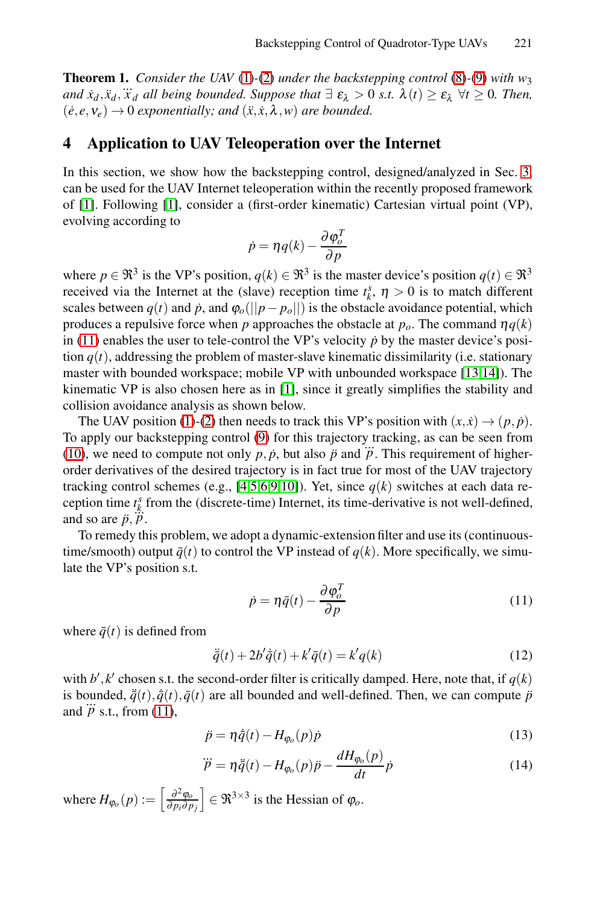<span id="page-4-0"></span>**[T](#page-8-0)heorem 1.** *Consider the UAV* (1)*-*(2) *under the backstepping control* (8)*-*(9) *with w*<sup>3</sup> *and*  $\dot{x}_d$ , $\ddot{x}_d$ ,  $\dddot{x}_d$  *all being bounded. Suppose that*  $\exists \varepsilon_\lambda > 0$  *s.t.*  $\lambda(t) \ge \varepsilon_\lambda \ \forall t \ge 0$ *. Then,*  $(\dot{e}, e, v_e) \rightarrow 0$  *exponentially; and*  $(\ddot{x}, \dot{x}, \lambda, w)$  *are bounded.* 

## **4 Application to UAV Teleoperation over the Internet**

In this section, we show how the backstepping control, designed/analyzed in Sec. 3, can be used for the UAV Internet teleoperation within the recently proposed framework of [1]. Following [1], consider a (first-order kinematic) Cartesian virtual point (VP), evolving according to

$$
\dot{p} = \eta q(k) - \frac{\partial \varphi_o^T}{\partial p}
$$

where  $p \in \mathbb{R}^3$  is the [VP](#page-8-0)'s position,  $q(k) \in \mathbb{R}^3$  is the master device's position  $q(t) \in \mathbb{R}^3$ re[cei](#page-1-1)v[ed](#page-1-2) via the Internet at the (slave) reception time  $t_k^s$ ,  $\eta > 0$  is to match different scales between  $q(t)$  $q(t)$  $q(t)$  and  $\dot{p}$ , and  $\varphi_o(||p - p_o||)$  is the obstacle avoidance potential, which produces a repulsive force when *p* approaches the obstacle at  $p<sub>0</sub>$ . The command  $\eta q(k)$ in (11) enables the user to tele-control the VP's velocity  $\dot{p}$  by the master device's position  $q(t)$ , ad[dre](#page-8-8)[ss](#page-8-7)[in](#page-8-6)[g](#page-8-5) [the](#page-8-9) problem of master-slave kinematic dissimilarity (i.e. stationary master with bounded workspace; mobile VP with unbounded workspace [13,14]). The kinematic VP is also chosen here as in [1], since it greatly simplifies the stability and collision avoidance analysis as shown below.

The UAV position (1)-(2) then needs to track this VP's position with  $(x, \dot{x}) \rightarrow (p, \dot{p})$ . To apply our backstepping control (9) for this trajectory tracking, as can be seen from (10), we need to compute not only  $p, \dot{p}$ , but also  $\ddot{p}$  and  $\dddot{p}$ . This requirement of higher-<br>(10), we need to compute not only  $p, \dot{p}$ , but also  $\ddot{p}$  and  $\dddot{p}$ . This requirement of higherorder derivatives of the desired trajectory is in fact true for most of the UAV trajectory tracking control schemes (e.g., [4,5,6,9,10]). Yet, since  $q(k)$  switches at each data reception time  $t_k^s$  from the (discrete-time) Internet, its time-derivative is not well-defined, and so are  $\ddot{p}, \dddot{p}$ .

To remedy this problem, we adopt a dynamic-extension filter and use its (continuoustime/smooth) output  $\bar{q}(t)$  to control the VP instead of  $q(k)$ . More specifically, we simulate the VP's position s.t.

$$
\dot{p} = \eta \bar{q}(t) - \frac{\partial \varphi_o^T}{\partial p} \tag{11}
$$

where  $\bar{q}(t)$  is defined from

$$
\ddot{\overline{q}}(t) + 2b'\dot{\overline{q}}(t) + k'\overline{q}(t) = k'q(k)
$$
\n(12)

with  $b'$ ,  $k'$  chosen s.t. the second-order filter is critically damped. Here, note that, if  $q(k)$ is bounded,  $\ddot{q}(t), \dot{q}(t), \bar{q}(t)$  are all bounded and well-defined. Then, we can compute  $\ddot{p}$ is bounded,  $q(t)$ ,  $q(t)$ <br>and  $\dddot{p}$  s.t., from (11),

$$
\ddot{p} = \eta \dot{\bar{q}}(t) - H_{\varphi_o}(p)\dot{p}
$$
\n(13)

$$
\dddot{p} = \eta \ddot{\bar{q}}(t) - H_{\varphi_o}(p)\ddot{p} - \frac{dH_{\varphi_o}(p)}{dt}\dot{p}
$$
\n(14)

where  $H_{\varphi_o}(p) :=$  $\overline{a}$ <sup>∂</sup>2ϕ*<sup>o</sup>* <sup>∂</sup> *pi*<sup>∂</sup> *pj*  $\in \mathfrak{R}^{3 \times 3}$  is the Hessian of  $\varphi_o$ .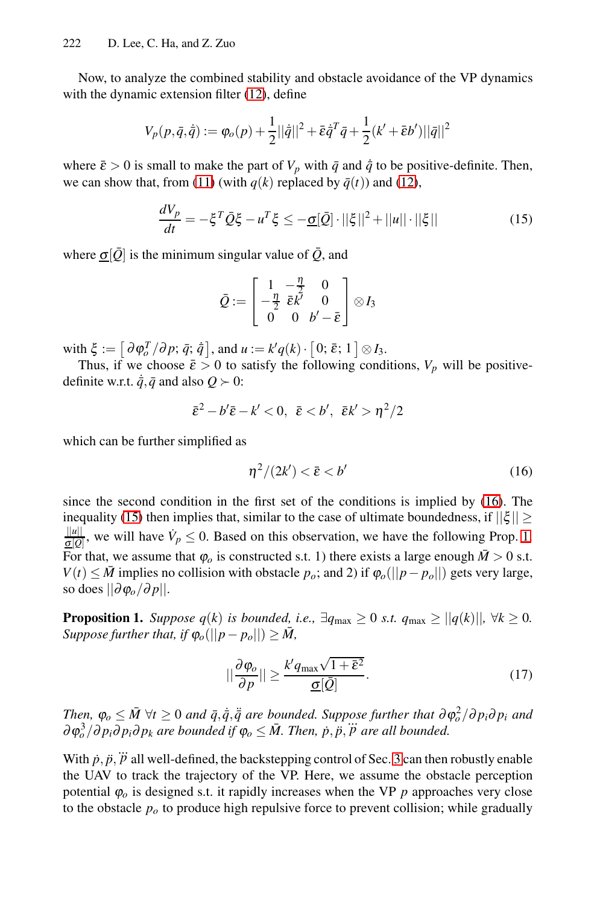Now, to analyze the combined stability and obstacle avoidance of the VP dynamics with the dynamic extension filter (12), define

$$
V_p(p,\bar{q},\dot{\bar{q}}) := \varphi_o(p) + \frac{1}{2} ||\dot{\bar{q}}||^2 + \bar{\varepsilon} \dot{\bar{q}}^T \bar{q} + \frac{1}{2} (k' + \bar{\varepsilon} b') ||\bar{q}||^2
$$

where  $\bar{\varepsilon} > 0$  is small to make the part of  $V_p$  with  $\bar{q}$  and  $\dot{\bar{q}}$  to be positive-definite. Then, we can show that, from (11) (with  $q(k)$  replaced by  $\bar{q}(t)$ ) and (12),

$$
\frac{dV_p}{dt} = -\xi^T \bar{Q}\xi - u^T \xi \le -\underline{\sigma}[\bar{Q}] \cdot ||\xi||^2 + ||u|| \cdot ||\xi|| \tag{15}
$$

where  $\sigma[\bar{Q}]$  is the minimum singular value of  $\bar{Q}$ , and

<span id="page-5-0"></span>
$$
\bar{\mathcal{Q}}:=\left[\begin{array}{ccc}1&-\frac{\eta}{2}&0\\-\frac{\eta}{2}&\bar{\varepsilon}k'&0\\0&0&b'-\bar{\varepsilon}\end{array}\right]\otimes I_3
$$

with  $\xi := \left[\frac{\partial \boldsymbol{\phi}_o^T}{\partial p; \bar{q}; \bar{q}}\right]$  $\overline{a}$ , and  $u := k'q(k)$ .  $[0;\bar{\varepsilon};1]\otimes I_3.$ 

<span id="page-5-1"></span>Thus, if we choose  $\bar{\varepsilon} > 0$  to satisfy the following co[nditi](#page-5-0)ons,  $V_p$  will be positivedefinite w.r.t.  $\dot{\bar{q}}$ ,  $\bar{q}$  and also  $Q \succ 0$ :

$$
\bar{\varepsilon}^2 - b'\bar{\varepsilon} - k' < 0, \ \bar{\varepsilon} < b', \ \bar{\varepsilon} k' > \eta^2/2
$$

which can be further simplified as

$$
\eta^2/(2k') < \bar{\varepsilon} < b' \tag{16}
$$

since the second condition in the first set of the conditions is implied by (16). The inequality (15) then implies that, similar to the case of ultimate boundedness, if  $\|\xi\|$   $\geq$  $\frac{||u||}{\sigma[\hat{\varrho}]}$ , we will have  $\dot{V}_p \leq 0$ . Based on this observation, we have the following Prop. 1. For that, we assume that  $\varphi_o$  is constructed s.t. 1) there exists a large enough  $\bar{M} > 0$  s.t. *V*(*t*) ≤  $\overline{M}$  implies no collision with obstacle  $p_o$ ; and 2) if  $\varphi_o(||p - p_o||)$  gets very large, so does ||∂ϕ*o*/<sup>∂</sup> *p*||.

**Proposition 1.** *Suppose q*(*k*) *is bounded, i.e.,*  $\exists q_{\text{max}} \geq 0$  *s.t.*  $q_{\text{max}} \geq ||q(k)||$ ,  $\forall k \geq 0$ . *Suppose further that, if*  $\varphi_o(||p - p_o||) \ge \overline{M}$ ,

$$
||\frac{\partial \varphi_o}{\partial p}|| \ge \frac{k' q_{\text{max}} \sqrt{1 + \bar{\varepsilon}^2}}{\underline{\sigma}[\bar{Q}]}.
$$
 (17)

 $\overline{I}$ *Phen,*  $\varphi_o \leq \overline{M}$   $\forall t \geq 0$  *and*  $\overline{q}, \overline{q}, \overline{q}$  *are bounded. Suppose further that*  $\partial \varphi_o^2 / \partial p_i \partial p_i$  *and*  $\partial \varphi_o^3 / \partial p_i \partial p_i \partial p_k$  are bounded if  $\varphi_o \leq \bar{M}$ . Then,  $\dot{p}, \ddot{p}, \dddot{p}$  are all bounded.

With  $\dot{p}, \ddot{p}, \dddot{p}$  all well-defined, the backstepping control of Sec. 3 can then robustly enable the UAV to track the trajectory of the VP. Here, we assume the obstacle perception potential  $\varphi$ <sub>o</sub> is designed s.t. it rapidly increases when the VP *p* approaches very close to the obstacle  $p<sub>o</sub>$  to produce high repulsive force to prevent collision; while gradually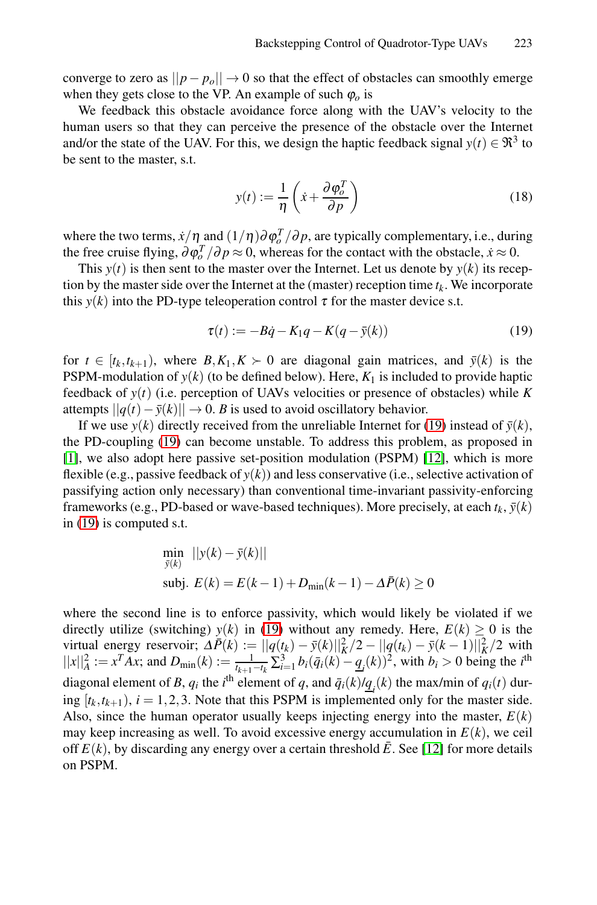converge to zero as  $||p - p<sub>o</sub>|| \rightarrow 0$  so that the effect of obstacles can smoothly emerge when they gets close to the VP. An example of such  $\varphi$  is

We feedback this obstacle avoidance force along with the UAV's velocity to the human users so that they can perceive the presence of the obstacle over the Internet and/or the state of the UAV. For this, we design the haptic feedback signal  $y(t) \in \mathbb{R}^3$  to be sent to the master, s.t.

<span id="page-6-1"></span><span id="page-6-0"></span>
$$
y(t) := \frac{1}{\eta} \left( \dot{x} + \frac{\partial \varphi_o^T}{\partial p} \right) \tag{18}
$$

where the two terms,  $\dot{x}/\eta$  and  $(1/\eta)\partial \varphi_o^T/\partial p$ , are typically complementary, i.e., during the free cruise flying,  $\frac{\partial \varphi_i^T}{\partial p} \approx 0$ , whereas for the contact with the obstacle,  $\dot{x} \approx 0$ .

This  $y(t)$  is then sent to the master over the Internet. Let us denote by  $y(k)$  its reception by the master side over the Internet at the (master) reception time  $t_k$ . We incorporate this  $y(k)$  into the PD-type teleoperation control  $\tau$  [fo](#page-6-0)r the master device s.t.

$$
\tau(t) := -B\dot{q} - K_1 q - K(q - \bar{y}(k))
$$
\n(19)

for  $t \in [t_k, t_{k+1})$ , where  $B, K_1, K \succ 0$  are diagonal gain matrices, and  $\bar{y}(k)$  is the PSPM-modulation of  $y(k)$  (to be defined below). Here,  $K_1$  is included to provide haptic feedback of  $y(t)$  (i.e. perception of UAVs velocities or presence of obstacles) while K attempts  $||q(t) - \bar{y}(k)||$  → 0. *B* is used to avoid oscillatory behavior.

If we use *y*(*k*) directly received from the unreliable Internet for (19) instead of  $\bar{y}(k)$ , the PD-coupling (19) can become unstable. To address this problem, as proposed in [1], we also adopt here passive set-position modulation (PSPM) [12], which is more flexible (e.g., passive feedback of  $y(k)$ ) and less conservative (i.e., selective activation of passifying action only necessary) than conventional time-invariant passivity-enforcing frameworks (e.g.[, PD](#page-6-0)-based or wave-based techniques). More precisely, at each  $t_k$ ,  $\bar{y}(k)$ in (19) is computed s.t.

$$
\min_{\bar{y}(k)} \quad ||y(k) - \bar{y}(k)||
$$
\n
$$
\text{subj. } E(k) = E(k-1) + D_{\min}(k-1) - \Delta \bar{P}(k) \ge 0
$$

where the second line is to enforce passivity, which would likely be violated if we directly utilize (switching)  $y(k)$  in (19) with[out](#page-8-3) any remedy. Here,  $E(k) \ge 0$  is the virtual energy reservoir;  $\Delta \bar{P}(k) := ||q(t_k) - \bar{y}(k)||_K^2/2 - ||q(t_k) - \bar{y}(k-1)||_K^2/2$  with  $||x||_A^2 := x^T A x$ ; and  $D_{\min}(k) := \frac{1}{t_{k+1}-t_k} \sum_{i=1}^3 b_i (\bar{q}_i(k) - \underline{q}_i(k))^2$ , with  $b_i > 0$  being the *i*<sup>th</sup> diagonal element of *B*,  $q_i$  the *i*<sup>th</sup> element of  $q$ , and  $\bar{q}_i(k)/\underline{q}_i(k)$  the max/min of  $q_i(t)$  during  $[t_k, t_{k+1}), i = 1, 2, 3$ . Note that this PSPM is implemented only for the master side. Also, since the human operator usually keeps injecting energy into the master,  $E(k)$ may keep increasing as well. To avoid excessive energy accumulation in  $E(k)$ , we ceil off  $E(k)$ , by discarding any energy over a certain threshold  $\bar{E}$ . See [12] for more details on PSPM.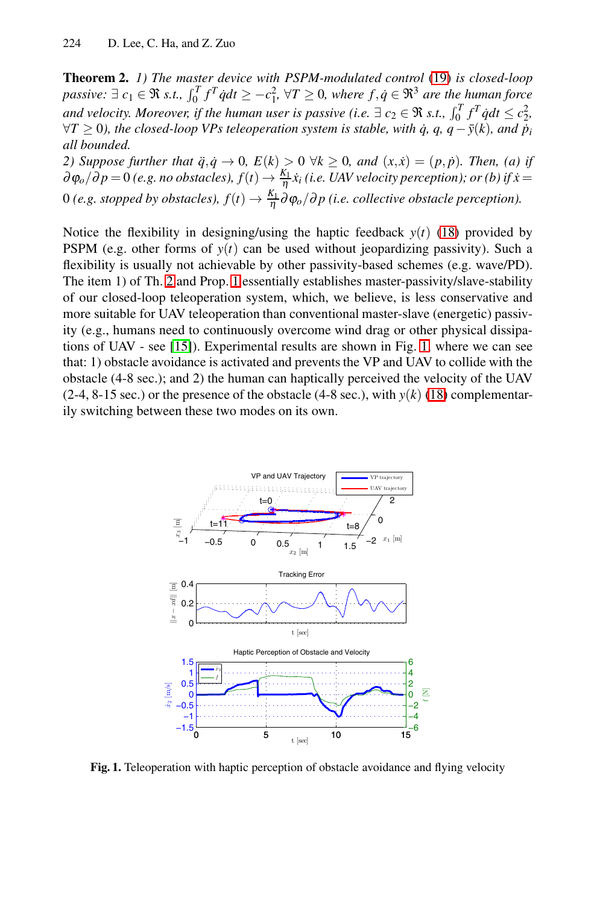<span id="page-7-0"></span>**Theorem 2.** *1) The master device with PSPM-modulated control* (19) *is closed-loop* **Theorem 2.** 1) The master device with PSPM-modulated control (19) is closed-loop<br>passi[ve](#page-6-1):  $\exists c_1 \in \Re$  s.t.,  $\int_0^T f^T \dot{q} dt \ge -c_1^2$ ,  $\forall T \ge 0$ , where  $f, \dot{q} \in \Re^3$  are the human force<br>and velocity. Moreover, if the h *∀T* ≥ 0), the closed-loop VPs teleoperation system is stable, with  $\dot{q}$ ,  $q$ ,  $q$  −  $\bar{y}(k)$ , and  $\dot{p}_i$ *all bounded.*

*[2](#page-7-0))* Suppose [fu](#page-5-1)rther that  $\ddot{q}, \dot{q} \to 0$ ,  $E(k) > 0 \ \forall k \ge 0$ , and  $(x, \dot{x}) = (p, \dot{p})$ . Then, (a) if  $\partial \varphi_o/\overline{\partial p} = 0$  (e.g. no obstacles),  $f(t) \rightarrow \frac{K_1}{\eta} \dot{x}_i$  (i.e. UAV velocity perception); or (b) if  $\dot{x} =$ 0 (e.g. stopped by obstacles),  $f(t) \to \frac{K_1}{\eta} \partial \varphi_o/\partial p$  (i.e. collective obstacle perception).

[Not](#page-8-10)ice the flexibility in designing/using the [ha](#page-7-1)ptic feedback  $y(t)$  (18) provided by PSPM (e.g. other forms of  $y(t)$  can be used without jeopardizing passivity). Such a flexibility is usually not achievable by other pa[ssiv](#page-6-1)ity-based schemes (e.g. wave/PD). The item 1) of Th. 2 and Prop. 1 essentially establishes master-passivity/slave-stability of our closed-loop teleoperation system, which, we believe, is less conservative and more suitable for UAV teleoperation than conventional master-slave (energetic) passivity (e.g., humans need to continuously overcome wind drag or other physical dissipations of UAV - see [15]). Experimental results are shown in Fig. 1, where we can see that: 1) obstacle avoidance is activated and prevents the VP and UAV to collide with the obstacle (4-8 sec.); and 2) the human can haptically perceived the velocity of the UAV (2-4, 8-15 sec.) or the presence of the obstacle (4-8 sec.), with  $y(k)$  (18) complementarily switching between these two modes on its own.

<span id="page-7-1"></span>

**Fig. 1.** Teleoperation with haptic perception of obstacle avoidance and flying velocity